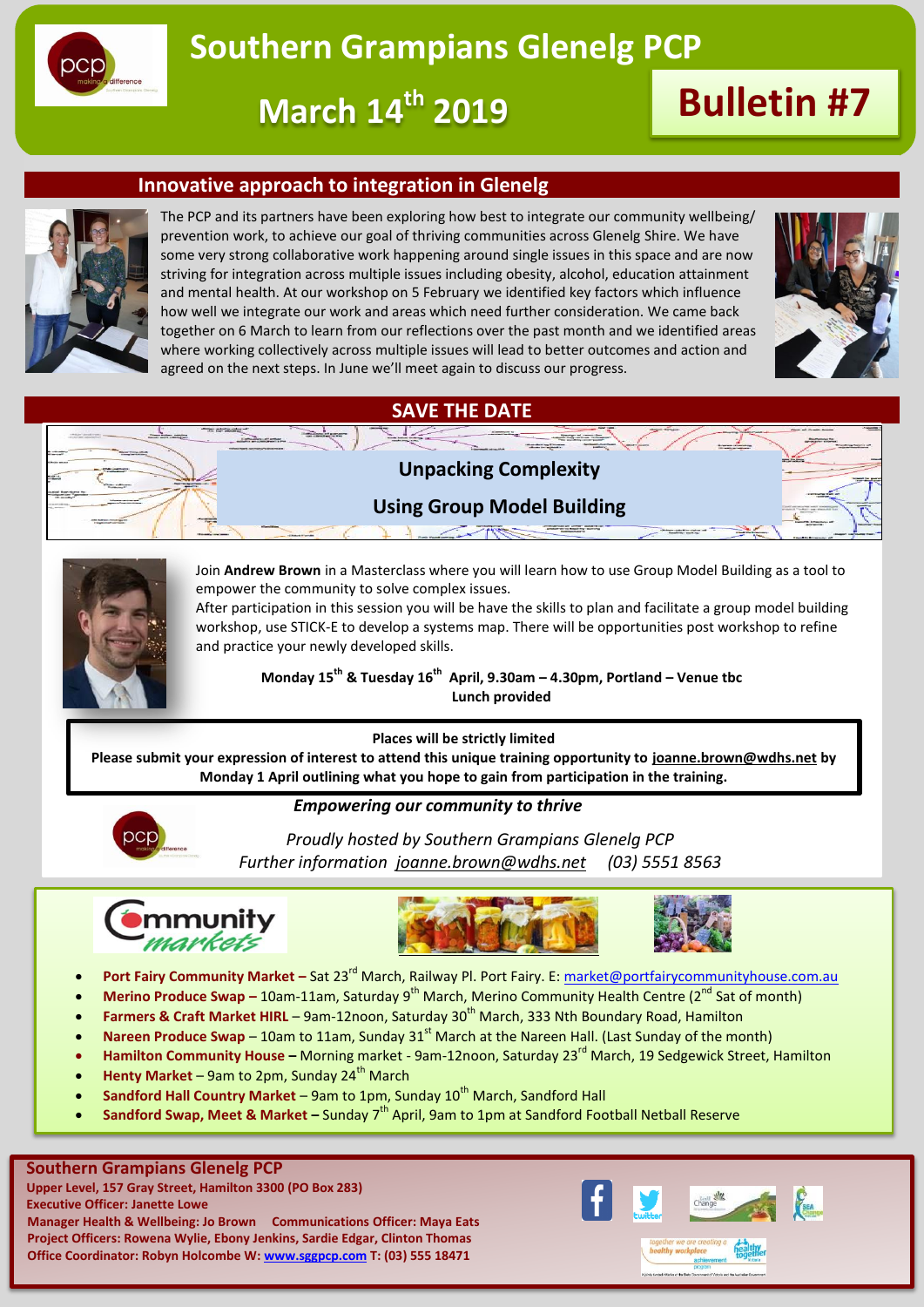

# **Southern Grampians Glenelg PCP**

**March 14th 2019 Bulletin #7**

### **Innovative approach to integration in Glenelg**



The PCP and its partners have been exploring how best to integrate our community wellbeing/ prevention work, to achieve our goal of thriving communities across Glenelg Shire. We have some very strong collaborative work happening around single issues in this space and are now striving for integration across multiple issues including obesity, alcohol, education attainment and mental health. At our workshop on 5 February we identified key factors which influence how well we integrate our work and areas which need further consideration. We came back together on 6 March to learn from our reflections over the past month and we identified areas where working collectively across multiple issues will lead to better outcomes and action and agreed on the next steps. In June we'll meet again to discuss our progress.



# **SAVE THE DATE**



### **Using Group Model Building**



Join **Andrew Brown** in a Masterclass where you will learn how to use Group Model Building as a tool to empower the community to solve complex issues.

After participation in this session you will be have the skills to plan and facilitate a group model building workshop, use STICK-E to develop a systems map. There will be opportunities post workshop to refine and practice your newly developed skills.

**Monday 15th & Tuesday 16th April, 9.30am – 4.30pm, Portland – Venue tbc Lunch provided**

#### **Places will be strictly limited**

**Please submit your expression of interest to attend this unique training opportunity to [joanne.brown@wdhs.net](mailto:joanne.brown@wdhs.net) by Monday 1 April outlining what you hope to gain from participation in the training.** 

### *Empowering our community to thrive*



*Proudly hosted by Southern Grampians Glenelg PCP Further information [joanne.brown@wdhs.net](mailto:joanne.brown@wdhs.net) (03) 5551 8563*







- Port Fairy Community Market Sat 23<sup>rd</sup> March, Railway Pl. Port Fairy. E[: market@portfairycommunityhouse.com.au](mailto:market@portfairycommunityhouse.com.au)
- **Merino Produce Swap** 10am-11am, Saturday 9<sup>th</sup> March, Merino Community Health Centre (2<sup>nd</sup> Sat of month)
- Farmers & Craft Market HIRL 9am-12noon, Saturday 30<sup>th</sup> March, 333 Nth Boundary Road, Hamilton
- Nareen Produce Swap 10am to 11am, Sunday 31<sup>st</sup> March at the Nareen Hall. (Last Sunday of the month)
- **Hamilton Community House –** Morning market 9am-12noon, Saturday 23rd March, 19 Sedgewick Street, Hamilton
- **Henty Market** 9am to 2pm, Sunday 24<sup>th</sup> March
- Sandford Hall Country Market 9am to 1pm, Sunday 10<sup>th</sup> March, Sandford Hall
- **Sandford Swap, Meet & Market** Sunday 7<sup>th</sup> April, 9am to 1pm at Sandford Football Netball Reserve

#### **Southern Grampians Glenelg PCP**

**Upper Level, 157 Gray Street, Hamilton 3300 (PO Box 283) Executive Officer: Janette Lowe Manager Health & Wellbeing: Jo Brown Communications Officer: Maya Eats Project Officers: Rowena Wylie, Ebony Jenkins, Sardie Edgar, Clinton Thomas Office Coordinator: Robyn Holcombe W: [www.sggpcp.com](http://www.sggpcp.com/) T: (03) 555 18471**